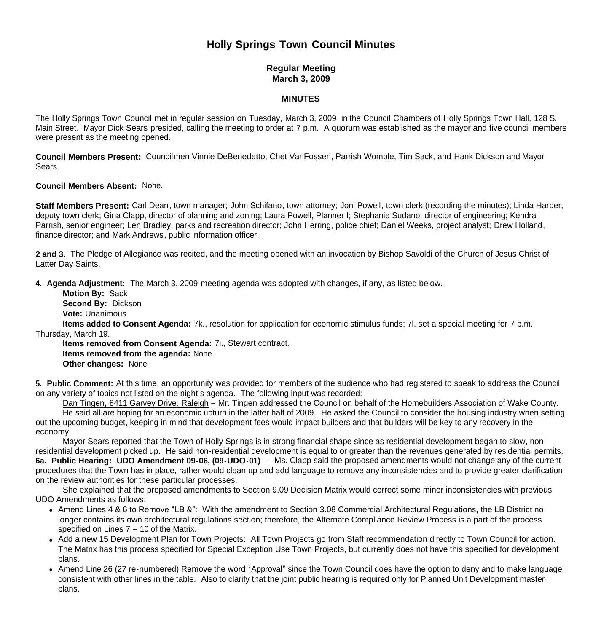## **Holly Springs Town Council Minutes**

## **Regular Meeting March 3, 2009**

## **MINUTES**

The Holly Springs Town Council met in regular session on Tuesday, March 3, 2009, in the Council Chambers of Holly Springs Town Hall, 128 S. Main Street. Mayor Dick Sears presided, calling the meeting to order at 7 p.m. A quorum was established as the mayor and five council members were present as the meeting opened.

**Council Members Present:** Councilmen Vinnie DeBenedetto, Chet VanFossen, Parrish Womble, Tim Sack, and Hank Dickson and Mayor Sears.

## **Council Members Absent:** None.

**Staff Members Present:** Carl Dean, town manager; John Schifano, town attorney; Joni Powell, town clerk (recording the minutes); Linda Harper, deputy town clerk; Gina Clapp, director of planning and zoning; Laura Powell, Planner I; Stephanie Sudano, director of engineering; Kendra Parrish, senior engineer; Len Bradley, parks and recreation director; John Herring, police chief; Daniel Weeks, project analyst; Drew Holland, finance director; and Mark Andrews, public information officer.

**2 and 3.** The Pledge of Allegiance was recited, and the meeting opened with an invocation by Bishop Savoldi of the Church of Jesus Christ of Latter Day Saints.

**4. Agenda Adjustment:** The March 3, 2009 meeting agenda was adopted with changes, if any, as listed below.

 **Motion By:** Sack **Second By:** Dickson **Vote:** Unanimous **Items added to Consent Agenda:** 7k., resolution for application for economic stimulus funds; 7l. set a special meeting for 7 p.m. Thursday, March 19.

 **Items removed from Consent Agenda:** 7i., Stewart contract.  **Items removed from the agenda:** None

 **Other changes:** None

**5. Public Comment:** At this time, an opportunity was provided for members of the audience who had registered to speak to address the Council on any variety of topics not listed on the night's agenda. The following input was recorded:

 Dan Tingen, 8411 Garvey Drive, Raleigh – Mr. Tingen addressed the Council on behalf of the Homebuilders Association of Wake County. He said all are hoping for an economic upturn in the latter half of 2009. He asked the Council to consider the housing industry when setting out the upcoming budget, keeping in mind that development fees would impact builders and that builders will be key to any recovery in the economy.

Mayor Sears reported that the Town of Holly Springs is in strong financial shape since as residential development began to slow, nonresidential development picked up. He said non-residential development is equal to or greater than the revenues generated by residential permits. **6a. Public Hearing: UDO Amendment 09-06, (09-UDO-01)** – Ms. Clapp said the proposed amendments would not change any of the current procedures that the Town has in place, rather would clean up and add language to remove any inconsistencies and to provide greater clarification on the review authorities for these particular processes.

 She explained that the proposed amendments to Section 9.09 Decision Matrix would correct some minor inconsistencies with previous UDO Amendments as follows:

- Amend Lines 4 & 6 to Remove "LB &": With the amendment to Section 3.08 Commercial Architectural Regulations, the LB District no longer contains its own architectural regulations section; therefore, the Alternate Compliance Review Process is a part of the process specified on Lines 7 – 10 of the Matrix.
- Add a new 15 Development Plan for Town Proiects: All Town Proiects go from Staff recommendation directly to Town Council for action. The Matrix has this process specified for Special Exception Use Town Projects, but currently does not have this specified for development plans.
- Amend Line 26 (27 re-numbered) Remove the word "Approval" since the Town Council does have the option to deny and to make language consistent with other lines in the table. Also to clarify that the joint public hearing is required only for Planned Unit Development master plans.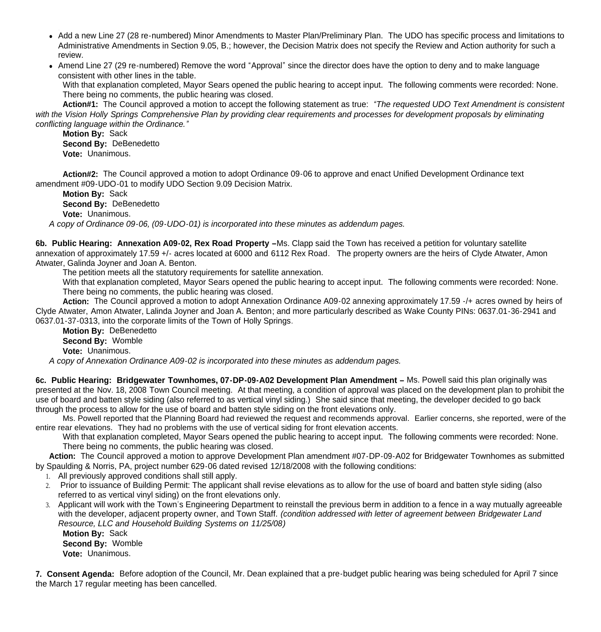- Add a new Line 27 (28 re-numbered) Minor Amendments to Master Plan/Preliminary Plan. The UDO has specific process and limitations to Administrative Amendments in Section 9.05, B.; however, the Decision Matrix does not specify the Review and Action authority for such a review.
- Amend Line 27 (29 re-numbered) Remove the word "Approval" since the director does have the option to deny and to make language consistent with other lines in the table.

With that explanation completed, Mayor Sears opened the public hearing to accept input. The following comments were recorded: None. There being no comments, the public hearing was closed.

**Action#1:** The Council approved a motion to accept the following statement as true: *"The requested UDO Text Amendment is consistent with the Vision Holly Springs Comprehensive Plan by providing clear requirements and processes for development proposals by eliminating conflicting language within the Ordinance."*

**Motion By:** Sack **Second By:** DeBenedetto **Vote:** Unanimous.

**Action#2:** The Council approved a motion to adopt Ordinance 09-06 to approve and enact Unified Development Ordinance text amendment #09-UDO-01 to modify UDO Section 9.09 Decision Matrix.

**Motion By:** Sack

**Second By:** DeBenedetto

**Vote:** Unanimous.

 *A copy of Ordinance 09-06, (09-UDO-01) is incorporated into these minutes as addendum pages.*

**6b. Public Hearing: Annexation A09-02, Rex Road Property –**Ms. Clapp said the Town has received a petition for voluntary satellite annexation of approximately 17.59 +/- acres located at 6000 and 6112 Rex Road. The property owners are the heirs of Clyde Atwater, Amon Atwater, Galinda Joyner and Joan A. Benton.

The petition meets all the statutory requirements for satellite annexation.

 With that explanation completed, Mayor Sears opened the public hearing to accept input. The following comments were recorded: None. There being no comments, the public hearing was closed.

**Action:** The Council approved a motion to adopt Annexation Ordinance A09-02 annexing approximately 17.59 -/+ acres owned by heirs of Clyde Atwater, Amon Atwater, Lalinda Joyner and Joan A. Benton; and more particularly described as Wake County PINs: 0637.01-36-2941 and 0637.01-37-0313, into the corporate limits of the Town of Holly Springs.

**Motion By:** DeBenedetto **Second By:** Womble **Vote:** Unanimous.

 *A copy of Annexation Ordinance A09-02 is incorporated into these minutes as addendum pages.*

**6c. Public Hearing: Bridgewater Townhomes, 07-DP-09-A02 Development Plan Amendment –** Ms. Powell said this plan originally was presented at the Nov. 18, 2008 Town Council meeting. At that meeting, a condition of approval was placed on the development plan to prohibit the use of board and batten style siding (also referred to as vertical vinyl siding.) She said since that meeting, the developer decided to go back through the process to allow for the use of board and batten style siding on the front elevations only.

 Ms. Powell reported that the Planning Board had reviewed the request and recommends approval. Earlier concerns, she reported, were of the entire rear elevations. They had no problems with the use of vertical siding for front elevation accents.

With that explanation completed, Mayor Sears opened the public hearing to accept input. The following comments were recorded: None. There being no comments, the public hearing was closed.

**Action:** The Council approved a motion to approve Development Plan amendment #07-DP-09-A02 for Bridgewater Townhomes as submitted by Spaulding & Norris, PA, project number 629-06 dated revised 12/18/2008 with the following conditions:

1. All previously approved conditions shall still apply.

- 2. Prior to issuance of Building Permit: The applicant shall revise elevations as to allow for the use of board and batten style siding (also referred to as vertical vinyl siding) on the front elevations only.
- 3. Applicant will work with the Town's Engineering Department to reinstall the previous berm in addition to a fence in a way mutually agreeable with the developer, adjacent property owner, and Town Staff. *(condition addressed with letter of agreement between Bridgewater Land Resource, LLC and Household Building Systems on 11/25/08)*

**Motion By:** Sack **Second By:** Womble **Vote:** Unanimous.

**7. Consent Agenda:** Before adoption of the Council, Mr. Dean explained that a pre-budget public hearing was being scheduled for April 7 since the March 17 regular meeting has been cancelled.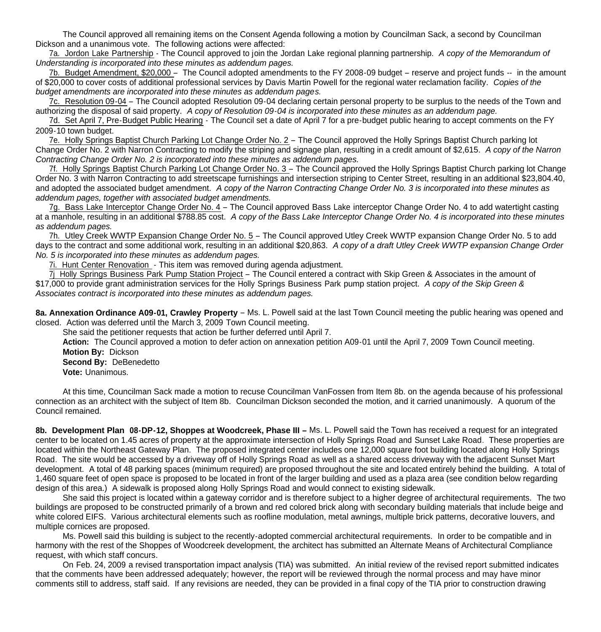The Council approved all remaining items on the Consent Agenda following a motion by Councilman Sack, a second by Councilman Dickson and a unanimous vote. The following actions were affected:

 7a. Jordon Lake Partnership - The Council approved to join the Jordan Lake regional planning partnership. *A copy of the Memorandum of Understanding is incorporated into these minutes as addendum pages.* 

7b. Budget Amendment, \$20,000 – The Council adopted amendments to the FY 2008-09 budget – reserve and project funds -- in the amount of \$20,000 to cover costs of additional professional services by Davis Martin Powell for the regional water reclamation facility. *Copies of the budget amendments are incorporated into these minutes as addendum pages.*

 7c. Resolution 09-04 – The Council adopted Resolution 09-04 declaring certain personal property to be surplus to the needs of the Town and authorizing the disposal of said property. *A copy of Resolution 09-04 is incorporated into these minutes as an addendum page.*

7d. Set April 7, Pre-Budget Public Hearing - The Council set a date of April 7 for a pre-budget public hearing to accept comments on the FY 2009-10 town budget.

 7e. Holly Springs Baptist Church Parking Lot Change Order No. 2 – The Council approved the Holly Springs Baptist Church parking lot Change Order No. 2 with Narron Contracting to modify the striping and signage plan, resulting in a credit amount of \$2,615. *A copy of the Narron Contracting Change Order No. 2 is incorporated into these minutes as addendum pages.*

 7f. Holly Springs Baptist Church Parking Lot Change Order No. 3 – The Council approved the Holly Springs Baptist Church parking lot Change Order No. 3 with Narron Contracting to add streetscape furnishings and intersection striping to Center Street, resulting in an additional \$23,804.40, and adopted the associated budget amendment. *A copy of the Narron Contracting Change Order No. 3 is incorporated into these minutes as addendum pages, together with associated budget amendments.*

 7g. Bass Lake Interceptor Change Order No. 4 – The Council approved Bass Lake interceptor Change Order No. 4 to add watertight casting at a manhole, resulting in an additional \$788.85 cost. *A copy of the Bass Lake Interceptor Change Order No. 4 is incorporated into these minutes as addendum pages.* 

 7h. Utley Creek WWTP Expansion Change Order No. 5 – The Council approved Utley Creek WWTP expansion Change Order No. 5 to add days to the contract and some additional work, resulting in an additional \$20,863. *A copy of a draft Utley Creek WWTP expansion Change Order No. 5 is incorporated into these minutes as addendum pages.*

7i. Hunt Center Renovation - This item was removed during agenda adjustment.

 7j Holly Springs Business Park Pump Station Project – The Council entered a contract with Skip Green & Associates in the amount of \$17,000 to provide grant administration services for the Holly Springs Business Park pump station project. *A copy of the Skip Green & Associates contract is incorporated into these minutes as addendum pages.*

8a. Annexation Ordinance A09-01, Crawley Property - Ms. L. Powell said at the last Town Council meeting the public hearing was opened and closed. Action was deferred until the March 3, 2009 Town Council meeting.

She said the petitioner requests that action be further deferred until April 7.

 **Action:** The Council approved a motion to defer action on annexation petition A09-01 until the April 7, 2009 Town Council meeting.  **Motion By:** Dickson

**Second By:** DeBenedetto

**Vote:** Unanimous.

 At this time, Councilman Sack made a motion to recuse Councilman VanFossen from Item 8b. on the agenda because of his professional connection as an architect with the subject of Item 8b. Councilman Dickson seconded the motion, and it carried unanimously. A quorum of the Council remained.

**8b. Development Plan 08-DP-12, Shoppes at Woodcreek, Phase III –** Ms. L. Powell said the Town has received a request for an integrated center to be located on 1.45 acres of property at the approximate intersection of Holly Springs Road and Sunset Lake Road. These properties are located within the Northeast Gateway Plan. The proposed integrated center includes one 12,000 square foot building located along Holly Springs Road. The site would be accessed by a driveway off of Holly Springs Road as well as a shared access driveway with the adjacent Sunset Mart development. A total of 48 parking spaces (minimum required) are proposed throughout the site and located entirely behind the building. A total of 1,460 square feet of open space is proposed to be located in front of the larger building and used as a plaza area (see condition below regarding design of this area.) A sidewalk is proposed along Holly Springs Road and would connect to existing sidewalk.

 She said this project is located within a gateway corridor and is therefore subject to a higher degree of architectural requirements. The two buildings are proposed to be constructed primarily of a brown and red colored brick along with secondary building materials that include beige and white colored EIFS. Various architectural elements such as roofline modulation, metal awnings, multiple brick patterns, decorative louvers, and multiple cornices are proposed.

 Ms. Powell said this building is subject to the recently-adopted commercial architectural requirements. In order to be compatible and in harmony with the rest of the Shoppes of Woodcreek development, the architect has submitted an Alternate Means of Architectural Compliance request, with which staff concurs.

 On Feb. 24, 2009 a revised transportation impact analysis (TIA) was submitted. An initial review of the revised report submitted indicates that the comments have been addressed adequately; however, the report will be reviewed through the normal process and may have minor comments still to address, staff said. If any revisions are needed, they can be provided in a final copy of the TIA prior to construction drawing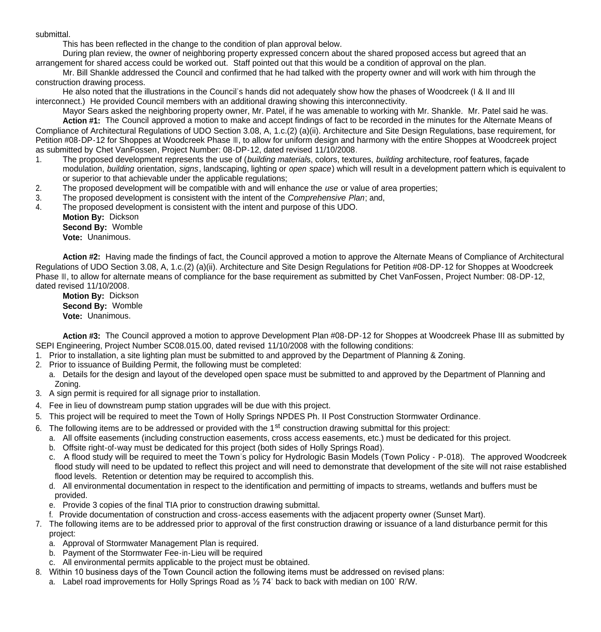submittal.

This has been reflected in the change to the condition of plan approval below.

 During plan review, the owner of neighboring property expressed concern about the shared proposed access but agreed that an arrangement for shared access could be worked out. Staff pointed out that this would be a condition of approval on the plan.

Mr. Bill Shankle addressed the Council and confirmed that he had talked with the property owner and will work with him through the construction drawing process.

He also noted that the illustrations in the Council's hands did not adequately show how the phases of Woodcreek (I & II and III interconnect.) He provided Council members with an additional drawing showing this interconnectivity.

Mayor Sears asked the neighboring property owner, Mr. Patel, if he was amenable to working with Mr. Shankle. Mr. Patel said he was. Action #1: The Council approved a motion to make and accept findings of fact to be recorded in the minutes for the Alternate Means of Compliance of Architectural Regulations of UDO Section 3.08, A, 1.c.(2) (a)(ii). Architecture and Site Design Regulations, base requirement, for Petition #08-DP-12 for Shoppes at Woodcreek Phase III, to allow for uniform design and harmony with the entire Shoppes at Woodcreek project as submitted by Chet VanFossen, Project Number: 08-DP-12, dated revised 11/10/2008.

- 1. The proposed development represents the use of (*building material*s, colors, textures, *building* architecture, roof features, façade modulation, *building* orientation, *signs*, landscaping, lighting or *open space*) which will result in a development pattern which is equivalent to or superior to that achievable under the applicable regulations;
- 2. The proposed development will be compatible with and will enhance the *use* or value of area properties;
- 3. The proposed development is consistent with the intent of the *Comprehensive Plan*; and,
- 4. The proposed development is consistent with the intent and purpose of this UDO.
	- **Motion By:** Dickson **Second By:** Womble **Vote:** Unanimous.

**Action #2:** Having made the findings of fact, the Council approved a motion to approve the Alternate Means of Compliance of Architectural Regulations of UDO Section 3.08, A, 1.c.(2) (a)(ii). Architecture and Site Design Regulations for Petition #08-DP-12 for Shoppes at Woodcreek Phase III, to allow for alternate means of compliance for the base requirement as submitted by Chet VanFossen, Project Number: 08-DP-12, dated revised 11/10/2008.

**Motion By:** Dickson **Second By:** Womble **Vote:** Unanimous.

**Action #3:** The Council approved a motion to approve Development Plan #08-DP-12 for Shoppes at Woodcreek Phase III as submitted by SEPI Engineering, Project Number SC08.015.00, dated revised 11/10/2008 with the following conditions:

- 1. Prior to installation, a site lighting plan must be submitted to and approved by the Department of Planning & Zoning.
- 2. Prior to issuance of Building Permit, the following must be completed:
	- a. Details for the design and layout of the developed open space must be submitted to and approved by the Department of Planning and Zoning.
- 3. A sign permit is required for all signage prior to installation.
- 4. Fee in lieu of downstream pump station upgrades will be due with this project.
- 5. This project will be required to meet the Town of Holly Springs NPDES Ph. II Post Construction Stormwater Ordinance.
- 6. The following items are to be addressed or provided with the 1<sup>st</sup> construction drawing submittal for this project:
	- a. All offsite easements (including construction easements, cross access easements, etc.) must be dedicated for this project.
	- b. Offsite right-of-way must be dedicated for this project (both sides of Holly Springs Road).
	- c. A flood study will be required to meet the Town's policy for Hydrologic Basin Models (Town Policy P-018). The approved Woodcreek flood study will need to be updated to reflect this project and will need to demonstrate that development of the site will not raise established flood levels. Retention or detention may be required to accomplish this.
	- d. All environmental documentation in respect to the identification and permitting of impacts to streams, wetlands and buffers must be provided.
	- e. Provide 3 copies of the final TIA prior to construction drawing submittal.
	- f. Provide documentation of construction and cross-access easements with the adjacent property owner (Sunset Mart).
- 7. The following items are to be addressed prior to approval of the first construction drawing or issuance of a land disturbance permit for this project:
	- a. Approval of Stormwater Management Plan is required.
	- b. Payment of the Stormwater Fee-in-Lieu will be required
	- c. All environmental permits applicable to the project must be obtained.
- 8. Within 10 business days of the Town Council action the following items must be addressed on revised plans:
	- a. Label road improvements for Holly Springs Road as ½ 74' back to back with median on 100' R/W.